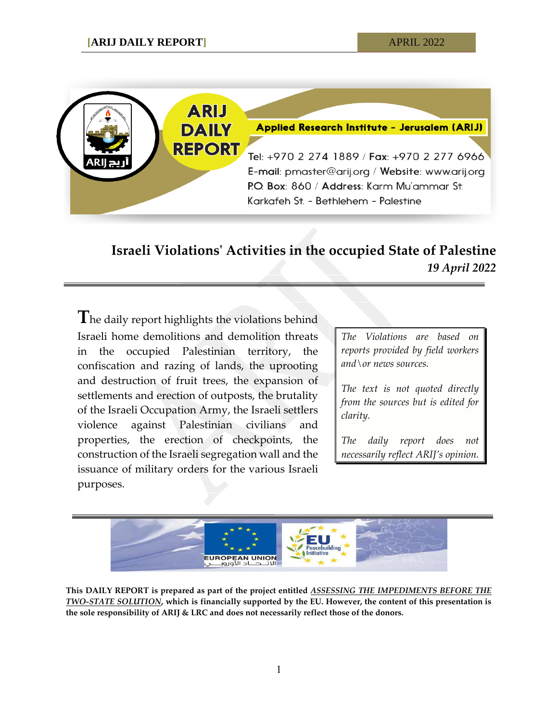

## **Israeli Violations' Activities in the occupied State of Palestine** *19 April 2022*

**T**he daily report highlights the violations behind Israeli home demolitions and demolition threats in the occupied Palestinian territory, the confiscation and razing of lands, the uprooting and destruction of fruit trees, the expansion of settlements and erection of outposts, the brutality of the Israeli Occupation Army, the Israeli settlers violence against Palestinian civilians and properties, the erection of checkpoints, the construction of the Israeli segregation wall and the issuance of military orders for the various Israeli purposes.

*The Violations are based on reports provided by field workers and\or news sources.*

*The text is not quoted directly from the sources but is edited for clarity.*

*The daily report does not necessarily reflect ARIJ's opinion.*



**This DAILY REPORT is prepared as part of the project entitled** *ASSESSING THE IMPEDIMENTS BEFORE THE TWO-STATE SOLUTION***, which is financially supported by the EU. However, the content of this presentation is the sole responsibility of ARIJ & LRC and does not necessarily reflect those of the donors.**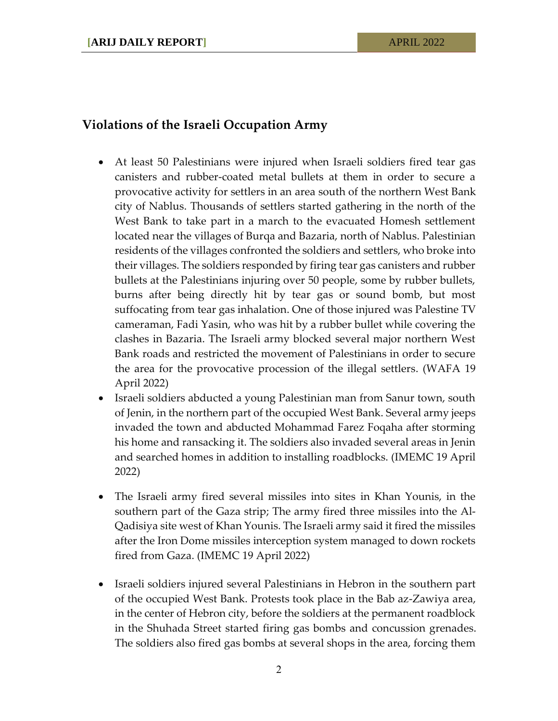## **Violations of the Israeli Occupation Army**

- At least 50 Palestinians were injured when Israeli soldiers fired tear gas canisters and rubber-coated metal bullets at them in order to secure a provocative activity for settlers in an area south of the northern West Bank city of Nablus. Thousands of settlers started gathering in the north of the West Bank to take part in a march to the evacuated Homesh settlement located near the villages of Burqa and Bazaria, north of Nablus. Palestinian residents of the villages confronted the soldiers and settlers, who broke into their villages. The soldiers responded by firing tear gas canisters and rubber bullets at the Palestinians injuring over 50 people, some by rubber bullets, burns after being directly hit by tear gas or sound bomb, but most suffocating from tear gas inhalation. One of those injured was Palestine TV cameraman, Fadi Yasin, who was hit by a rubber bullet while covering the clashes in Bazaria. The Israeli army blocked several major northern West Bank roads and restricted the movement of Palestinians in order to secure the area for the provocative procession of the illegal settlers. (WAFA 19 April 2022)
- Israeli soldiers abducted a young Palestinian man from Sanur town, south of Jenin, in the northern part of the occupied West Bank. Several army jeeps invaded the town and abducted Mohammad Farez Foqaha after storming his home and ransacking it. The soldiers also invaded several areas in Jenin and searched homes in addition to installing roadblocks. (IMEMC 19 April 2022)
- The Israeli army fired several missiles into sites in Khan Younis, in the southern part of the Gaza strip; The army fired three missiles into the Al-Qadisiya site west of Khan Younis. The Israeli army said it fired the missiles after the Iron Dome missiles interception system managed to down rockets fired from Gaza. (IMEMC 19 April 2022)
- Israeli soldiers injured several Palestinians in Hebron in the southern part of the occupied West Bank. Protests took place in the Bab az-Zawiya area, in the center of Hebron city, before the soldiers at the permanent roadblock in the Shuhada Street started firing gas bombs and concussion grenades. The soldiers also fired gas bombs at several shops in the area, forcing them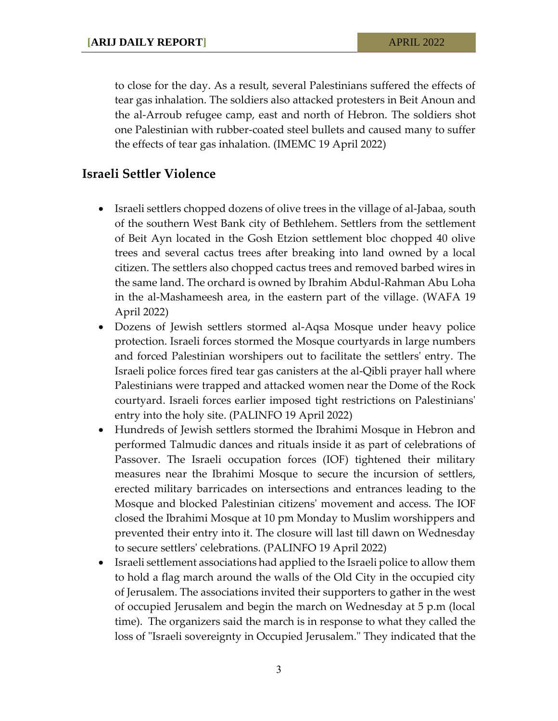to close for the day. As a result, several Palestinians suffered the effects of tear gas inhalation. The soldiers also attacked protesters in Beit Anoun and the al-Arroub refugee camp, east and north of Hebron. The soldiers shot one Palestinian with rubber-coated steel bullets and caused many to suffer the effects of tear gas inhalation. (IMEMC 19 April 2022)

## **Israeli Settler Violence**

- Israeli settlers chopped dozens of olive trees in the village of al-Jabaa, south of the southern West Bank city of Bethlehem. Settlers from the settlement of Beit Ayn located in the Gosh Etzion settlement bloc chopped 40 olive trees and several cactus trees after breaking into land owned by a local citizen. The settlers also chopped cactus trees and removed barbed wires in the same land. The orchard is owned by Ibrahim Abdul-Rahman Abu Loha in the al-Mashameesh area, in the eastern part of the village. (WAFA 19 April 2022)
- Dozens of Jewish settlers stormed al-Aqsa Mosque under heavy police protection. Israeli forces stormed the Mosque courtyards in large numbers and forced Palestinian worshipers out to facilitate the settlers' entry. The Israeli police forces fired tear gas canisters at the al-Qibli prayer hall where Palestinians were trapped and attacked women near the Dome of the Rock courtyard. Israeli forces earlier imposed tight restrictions on Palestinians' entry into the holy site. (PALINFO 19 April 2022)
- Hundreds of Jewish settlers stormed the Ibrahimi Mosque in Hebron and performed Talmudic dances and rituals inside it as part of celebrations of Passover. The Israeli occupation forces (IOF) tightened their military measures near the Ibrahimi Mosque to secure the incursion of settlers, erected military barricades on intersections and entrances leading to the Mosque and blocked Palestinian citizens' movement and access. The IOF closed the Ibrahimi Mosque at 10 pm Monday to Muslim worshippers and prevented their entry into it. The closure will last till dawn on Wednesday to secure settlers' celebrations. (PALINFO 19 April 2022)
- Israeli settlement associations had applied to the Israeli police to allow them to hold a flag march around the walls of the Old City in the occupied city of Jerusalem. The associations invited their supporters to gather in the west of occupied Jerusalem and begin the march on Wednesday at 5 p.m (local time). The organizers said the march is in response to what they called the loss of "Israeli sovereignty in Occupied Jerusalem." They indicated that the